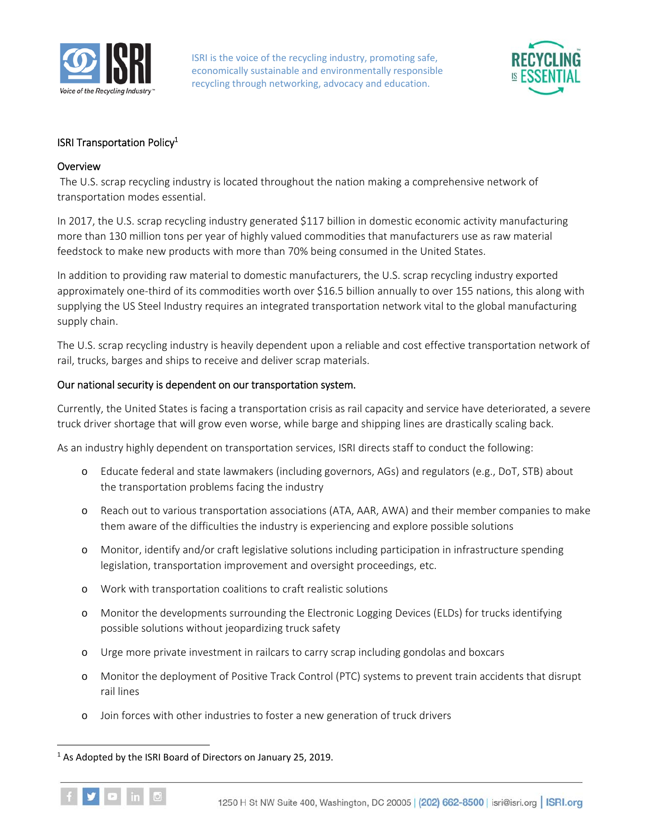

ISRI is the voice of the recycling industry, promoting safe, economically sustainable and environmentally responsible recycling through networking, advocacy and education.



## ISRI Transportation Policy<sup>1</sup>

## **Overview**

 The U.S. scrap recycling industry is located throughout the nation making a comprehensive network of transportation modes essential.

In 2017, the U.S. scrap recycling industry generated \$117 billion in domestic economic activity manufacturing more than 130 million tons per year of highly valued commodities that manufacturers use as raw material feedstock to make new products with more than 70% being consumed in the United States.

In addition to providing raw material to domestic manufacturers, the U.S. scrap recycling industry exported approximately one-third of its commodities worth over \$16.5 billion annually to over 155 nations, this along with supplying the US Steel Industry requires an integrated transportation network vital to the global manufacturing supply chain.

The U.S. scrap recycling industry is heavily dependent upon a reliable and cost effective transportation network of rail, trucks, barges and ships to receive and deliver scrap materials.

## Our national security is dependent on our transportation system.

Currently, the United States is facing a transportation crisis as rail capacity and service have deteriorated, a severe truck driver shortage that will grow even worse, while barge and shipping lines are drastically scaling back.

As an industry highly dependent on transportation services, ISRI directs staff to conduct the following:

- o Educate federal and state lawmakers (including governors, AGs) and regulators (e.g., DoT, STB) about the transportation problems facing the industry
- o Reach out to various transportation associations (ATA, AAR, AWA) and their member companies to make them aware of the difficulties the industry is experiencing and explore possible solutions
- o Monitor, identify and/or craft legislative solutions including participation in infrastructure spending legislation, transportation improvement and oversight proceedings, etc.
- o Work with transportation coalitions to craft realistic solutions
- o Monitor the developments surrounding the Electronic Logging Devices (ELDs) for trucks identifying possible solutions without jeopardizing truck safety
- o Urge more private investment in railcars to carry scrap including gondolas and boxcars
- o Monitor the deployment of Positive Track Control (PTC) systems to prevent train accidents that disrupt rail lines
- o Join forces with other industries to foster a new generation of truck drivers

<sup>&</sup>lt;sup>1</sup> As Adopted by the ISRI Board of Directors on January 25, 2019.